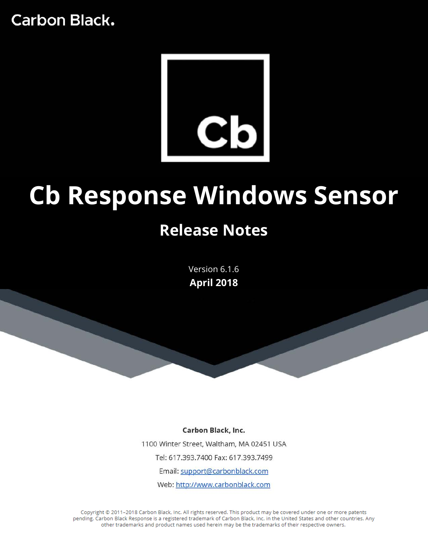

# **Cb Response Windows Sensor**

# **Release Notes**

Version 6.1.6 **April 2018**

Carbon Black, Inc. 1100 Winter Street, Waltham, MA 02451 USA Tel: 617.393.7400 Fax: 617.393.7499 Email: support@carbonblack.com Web: http://www.carbonblack.com

Copyright @ 2011-2018 Carbon Black, Inc. All rights reserved. This product may be covered under one or more patents pending. Carbon Black Response is a registered trademark of Carbon Black, Inc. in the United States and other countries. Any other trademarks and product names used herein may be the trademarks of their respective owners.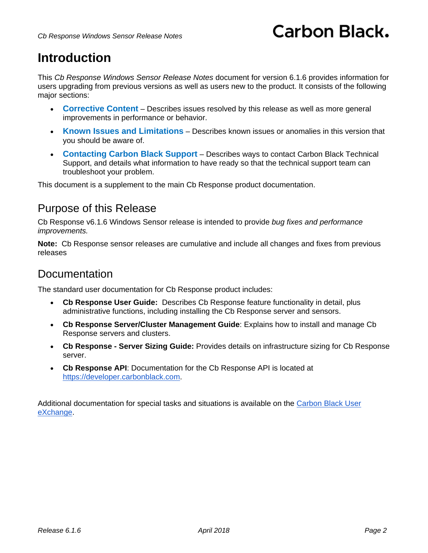## **Introduction**

This *Cb Response Windows Sensor Release Notes* document for version 6.1.6 provides information for users upgrading from previous versions as well as users new to the product. It consists of the following major sections:

- **[Corrective Content](#page-2-0)** Describes issues resolved by this release as well as more general improvements in performance or behavior.
- **[Known Issues and Limitations](#page-2-1)** Describes known issues or anomalies in this version that you should be aware of.
- **[Contacting Carbon Black Support](#page-4-0)** Describes ways to contact Carbon Black Technical Support, and details what information to have ready so that the technical support team can troubleshoot your problem.

This document is a supplement to the main Cb Response product documentation.

#### Purpose of this Release

Cb Response v6.1.6 Windows Sensor release is intended to provide *bug fixes and performance improvements.*

**Note:** Cb Response sensor releases are cumulative and include all changes and fixes from previous releases

#### Documentation

The standard user documentation for Cb Response product includes:

- **Cb Response User Guide:** Describes Cb Response feature functionality in detail, plus administrative functions, including installing the Cb Response server and sensors.
- **Cb Response Server/Cluster Management Guide**: Explains how to install and manage Cb Response servers and clusters.
- **Cb Response - Server Sizing Guide:** Provides details on infrastructure sizing for Cb Response server.
- **Cb Response API**: Documentation for the Cb Response API is located at [https://developer.carbonblack.com.](https://developer.carbonblack.com/)

Additional documentation for special tasks and situations is available on the [Carbon Black User](https://community.carbonblack.com/)  [eXchange.](https://community.carbonblack.com/)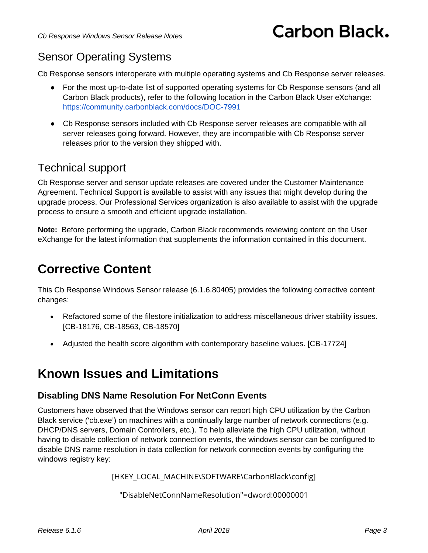## Sensor Operating Systems

Cb Response sensors interoperate with multiple operating systems and Cb Response server releases.

- For the most up-to-date list of supported operating systems for Cb Response sensors (and all Carbon Black products), refer to the following location in the Carbon Black User eXchange: <https://community.carbonblack.com/docs/DOC-7991>
- Cb Response sensors included with Cb Response server releases are compatible with all server releases going forward. However, they are incompatible with Cb Response server releases prior to the version they shipped with.

#### Technical support

Cb Response server and sensor update releases are covered under the Customer Maintenance Agreement. Technical Support is available to assist with any issues that might develop during the upgrade process. Our Professional Services organization is also available to assist with the upgrade process to ensure a smooth and efficient upgrade installation.

**Note:** Before performing the upgrade, Carbon Black recommends reviewing content on the User eXchange for the latest information that supplements the information contained in this document.

## <span id="page-2-0"></span>**Corrective Content**

This Cb Response Windows Sensor release (6.1.6.80405) provides the following corrective content changes:

- Refactored some of the filestore initialization to address miscellaneous driver stability issues. [CB-18176, CB-18563, CB-18570]
- Adjusted the health score algorithm with contemporary baseline values. [CB-17724]

## <span id="page-2-1"></span>**Known Issues and Limitations**

#### **Disabling DNS Name Resolution For NetConn Events**

Customers have observed that the Windows sensor can report high CPU utilization by the Carbon Black service ('cb.exe') on machines with a continually large number of network connections (e.g. DHCP/DNS servers, Domain Controllers, etc.). To help alleviate the high CPU utilization, without having to disable collection of network connection events, the windows sensor can be configured to disable DNS name resolution in data collection for network connection events by configuring the windows registry key:

[HKEY\_LOCAL\_MACHINE\SOFTWARE\CarbonBlack\config]

"DisableNetConnNameResolution"=dword:00000001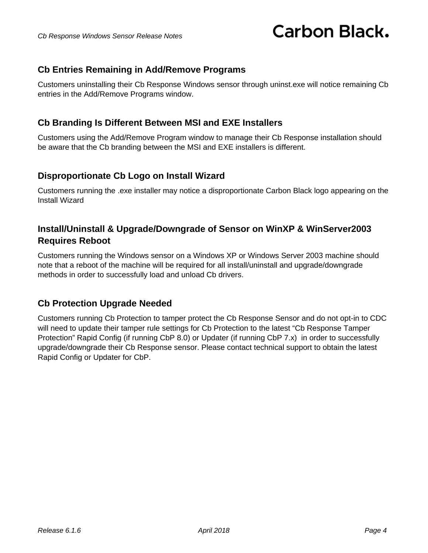#### **Cb Entries Remaining in Add/Remove Programs**

Customers uninstalling their Cb Response Windows sensor through uninst.exe will notice remaining Cb entries in the Add/Remove Programs window.

#### **Cb Branding Is Different Between MSI and EXE Installers**

Customers using the Add/Remove Program window to manage their Cb Response installation should be aware that the Cb branding between the MSI and EXE installers is different.

#### **Disproportionate Cb Logo on Install Wizard**

Customers running the .exe installer may notice a disproportionate Carbon Black logo appearing on the Install Wizard

#### **Install/Uninstall & Upgrade/Downgrade of Sensor on WinXP & WinServer2003 Requires Reboot**

Customers running the Windows sensor on a Windows XP or Windows Server 2003 machine should note that a reboot of the machine will be required for all install/uninstall and upgrade/downgrade methods in order to successfully load and unload Cb drivers.

#### **Cb Protection Upgrade Needed**

Customers running Cb Protection to tamper protect the Cb Response Sensor and do not opt-in to CDC will need to update their tamper rule settings for Cb Protection to the latest "Cb Response Tamper Protection" Rapid Config (if running CbP 8.0) or Updater (if running CbP 7.x) in order to successfully upgrade/downgrade their Cb Response sensor. Please contact technical support to obtain the latest Rapid Config or Updater for CbP.